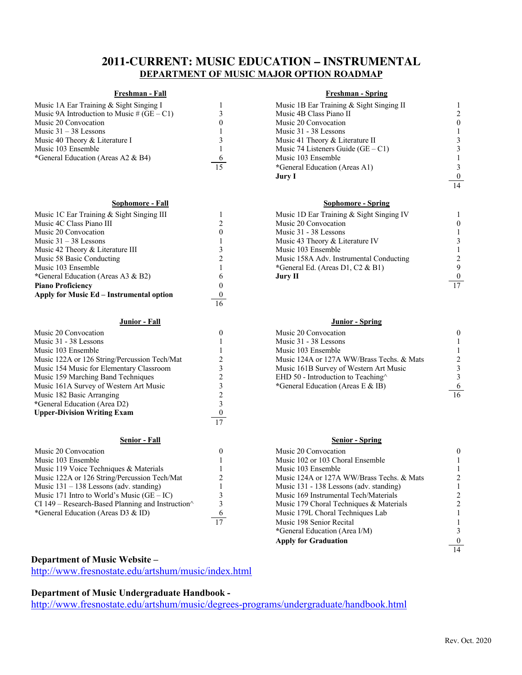# **2011-CURRENT: MUSIC EDUCATION – INSTRUMENTAL DEPARTMENT OF MUSIC MAJOR OPTION ROADMAP**

| Music 1A Ear Training & Sight Singing I    |
|--------------------------------------------|
| Music 9A Introduction to Music # (GE – C1) |
| Music 20 Convocation                       |
| Music $31 - 38$ Lessons                    |
| Music 40 Theory & Literature I             |
| Music 103 Ensemble                         |
| *General Education (Areas A2 & B4)         |
|                                            |

#### **Sophomore - Fall Sophomore - Spring**

| Music 1C Ear Training & Sight Singing III |    | Music 1D Ear Training & Sight Singing IV |                 |
|-------------------------------------------|----|------------------------------------------|-----------------|
| Music 4C Class Piano III                  |    | Music 20 Convocation                     |                 |
| Music 20 Convocation                      |    | Music 31 - 38 Lessons                    |                 |
| Music $31 - 38$ Lessons                   |    | Music 43 Theory & Literature IV          |                 |
| Music 42 Theory & Literature III          |    | Music 103 Ensemble                       |                 |
| Music 58 Basic Conducting                 |    | Music 158A Adv. Instrumental Conducting  |                 |
| Music 103 Ensemble                        |    | *General Ed. (Areas D1, C2 & B1)         |                 |
| *General Education (Areas A3 & B2)        |    | Jury II                                  | $\mathbf{0}$    |
| <b>Piano Proficiency</b>                  |    |                                          | $\overline{17}$ |
| Apply for Music Ed – Instrumental option  |    |                                          |                 |
|                                           | 16 |                                          |                 |

| Music 20 Convocation                                      |    | Music 20 Convocation                       |    |
|-----------------------------------------------------------|----|--------------------------------------------|----|
| Music 31 - 38 Lessons                                     |    | Music 31 - 38 Lessons                      |    |
| Music 103 Ensemble                                        |    | Music 103 Ensemble                         |    |
| Music 122A or 126 String/Percussion Tech/Mat              |    | Music 124A or 127A WW/Brass Techs, & Mats  |    |
| Music 154 Music for Elementary Classroom                  |    | Music 161B Survey of Western Art Music     |    |
| Music 159 Marching Band Techniques                        |    | EHD 50 - Introduction to Teaching $\wedge$ |    |
| Music 161A Survey of Western Art Music                    |    | *General Education (Areas E & IB)          |    |
| Music 182 Basic Arranging                                 |    |                                            | 16 |
| *General Education (Area D2)                              |    |                                            |    |
| <b>Upper-Division Writing Exam</b>                        |    |                                            |    |
|                                                           | 17 |                                            |    |
| <b>Senior - Fall</b>                                      |    | <b>Senior - Spring</b>                     |    |
| Music 20 Convocation                                      | 0  | Music 20 Convocation                       |    |
| Music 103 Ensemble                                        |    | Music 102 or 103 Choral Ensemble           |    |
| Music 119 Voice Techniques & Materials                    |    | Music 103 Ensemble                         |    |
| Music 122A or 126 String/Percussion Tech/Mat              |    | Music 124A or 127A WW/Brass Techs. & Mats  |    |
| Music $131 - 138$ Lessons (adv. standing)                 |    | Music 131 - 138 Lessons (adv. standing)    |    |
| Music 171 Intro to World's Music $(GE – IC)$              |    | Music 169 Instrumental Tech/Materials      |    |
| CI 149 – Research-Based Planning and Instruction $\wedge$ |    | Music 179 Choral Techniques & Materials    |    |
| *General Education (Areas D3 & ID)                        |    | Music 179L Choral Techniques Lab           |    |
|                                                           | 17 | Music 198 Senior Recital                   |    |

## **Freshman - Fall Freshman - Spring**

|          | Music 1B Ear Training & Sight Singing II |          |
|----------|------------------------------------------|----------|
|          | Music 4B Class Piano II                  |          |
|          | Music 20 Convocation                     | $\theta$ |
|          | Music 31 - 38 Lessons                    |          |
|          | Music 41 Theory & Literature II          |          |
|          | Music 74 Listeners Guide $(GE - C1)$     |          |
| $\sigma$ | Music 103 Ensemble                       |          |
| 15       | *General Education (Areas A1)            |          |
|          | Jury I                                   | $\bf{0}$ |
|          |                                          | 14       |
|          |                                          |          |

| Music 1D Ear Training & Sight Singing IV |  |
|------------------------------------------|--|
| Music 20 Convocation                     |  |
| Music 31 - 38 Lessons                    |  |
| Music 43 Theory & Literature IV          |  |
| Music 103 Ensemble                       |  |
| Music 158A Adv. Instrumental Conducting  |  |
| General Ed. (Areas D1, C2 & B1)          |  |
| Jury II                                  |  |
|                                          |  |

### **Junior - Fall Junior - Spring**

| Music 20 Convocation                       |  |
|--------------------------------------------|--|
| Music 31 - 38 Lessons                      |  |
| Music 103 Ensemble                         |  |
| Music 124A or 127A WW/Brass Techs. & Mats  |  |
| Music 161B Survey of Western Art Music     |  |
| EHD 50 - Introduction to Teaching $\wedge$ |  |
| *General Education (Areas E & IB)          |  |
|                                            |  |

### **Senior - Fall Senior - Spring**

|    | Music 20 Convocation                      |  |
|----|-------------------------------------------|--|
|    | Music 102 or 103 Choral Ensemble          |  |
|    | Music 103 Ensemble                        |  |
|    | Music 124A or 127A WW/Brass Techs, & Mats |  |
|    | Music 131 - 138 Lessons (adv. standing)   |  |
|    | Music 169 Instrumental Tech/Materials     |  |
|    | Music 179 Choral Techniques & Materials   |  |
|    | Music 179L Choral Techniques Lab          |  |
| 17 | Music 198 Senior Recital                  |  |
|    | *General Education (Area I/M)             |  |
|    | <b>Apply for Graduation</b>               |  |
|    |                                           |  |

## **Department of Music Website –**

http://www.fresnostate.edu/artshum/music/index.html

# **Department of Music Undergraduate Handbook -**

http://www.fresnostate.edu/artshum/music/degrees-programs/undergraduate/handbook.html